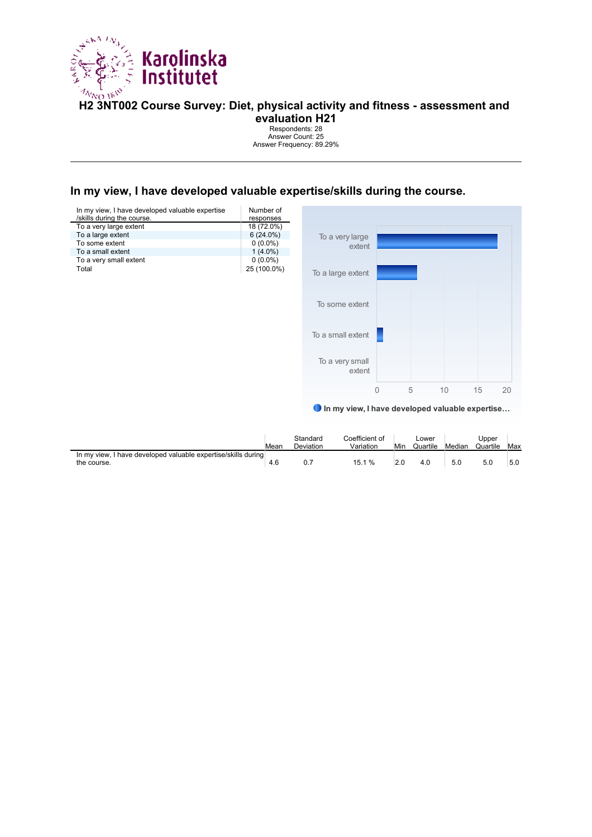

# **Ha<sub>0 16</sub>V**<br>H2 3NT002 Course Survey: Diet, physical activity and fitness - assessment and

**evaluation H21**

Respondents: 28 Answer Count: 25 Answer Frequency: 89.29%

#### **In my view, I have developed valuable expertise/skills during the course.**



|                                                                                 | Mean | Standard<br>Deviation | Coefficient of<br>Variation | Min | Lower<br>Quartile | Median | Jpper<br>Quartile | Max |
|---------------------------------------------------------------------------------|------|-----------------------|-----------------------------|-----|-------------------|--------|-------------------|-----|
| I have developed valuable expertise/skills during<br>In my view.<br>the course. | 4.6  | υ.                    | 15.1 %                      |     |                   | 5.0    | 5.0               | 5.0 |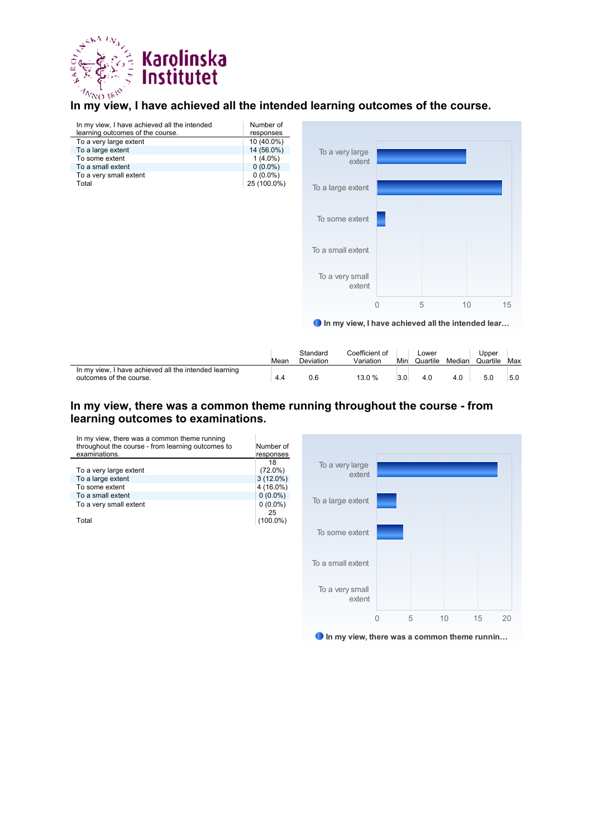

#### **In my view, I have achieved all the intended learning outcomes of the course.**

| In my view, I have achieved all the intended<br>learning outcomes of the course. | Number of<br>responses |                                                   |                |       |    |       |
|----------------------------------------------------------------------------------|------------------------|---------------------------------------------------|----------------|-------|----|-------|
| To a very large extent                                                           | 10 (40.0%)             |                                                   |                |       |    |       |
| To a large extent                                                                | 14 (56.0%)             | To a very large                                   |                |       |    |       |
| To some extent                                                                   | $1(4.0\%)$             | extent                                            |                |       |    |       |
| To a small extent                                                                | $0(0.0\%)$             |                                                   |                |       |    |       |
| To a very small extent                                                           | $0(0.0\%)$             |                                                   |                |       |    |       |
| Total                                                                            | 25 (100.0%)            | To a large extent                                 |                |       |    |       |
|                                                                                  |                        | To some extent                                    |                |       |    |       |
|                                                                                  |                        | To a small extent                                 |                |       |    |       |
|                                                                                  |                        | To a very small<br>extent                         |                |       |    |       |
|                                                                                  |                        |                                                   | $\overline{0}$ | 5     | 10 | 15    |
|                                                                                  |                        | In my view, I have achieved all the intended lear |                |       |    |       |
|                                                                                  |                        |                                                   |                |       |    |       |
|                                                                                  |                        | Coefficient of<br>Standard                        |                | Lower |    | Upper |

|                                                                                  | Mean | Standard<br>Deviation | Coefficient of<br>Variation | Min | Lower<br>Quartile | Median | Jpper<br>Quartile | Max |
|----------------------------------------------------------------------------------|------|-----------------------|-----------------------------|-----|-------------------|--------|-------------------|-----|
| In my view, I have achieved all the intended learning<br>outcomes of the course. | 4.4  | 0.6                   | 13.0 %                      |     |                   | 4.0    |                   | 5.0 |

#### **In my view, there was a common theme running throughout the course - from learning outcomes to examinations.**

| In my view, there was a common theme running<br>throughout the course - from learning outcomes to<br>examinations. | Number of<br>responses |
|--------------------------------------------------------------------------------------------------------------------|------------------------|
|                                                                                                                    | 18                     |
| To a very large extent                                                                                             | $(72.0\%)$             |
| To a large extent                                                                                                  | $3(12.0\%)$            |
| To some extent                                                                                                     | 4 (16.0%)              |
| To a small extent                                                                                                  | $0(0.0\%)$             |
| To a very small extent                                                                                             | $0(0.0\%)$             |
|                                                                                                                    | 25                     |
| T∩tal                                                                                                              | $(100.0\%)$            |



In my view, there was a common theme runnin...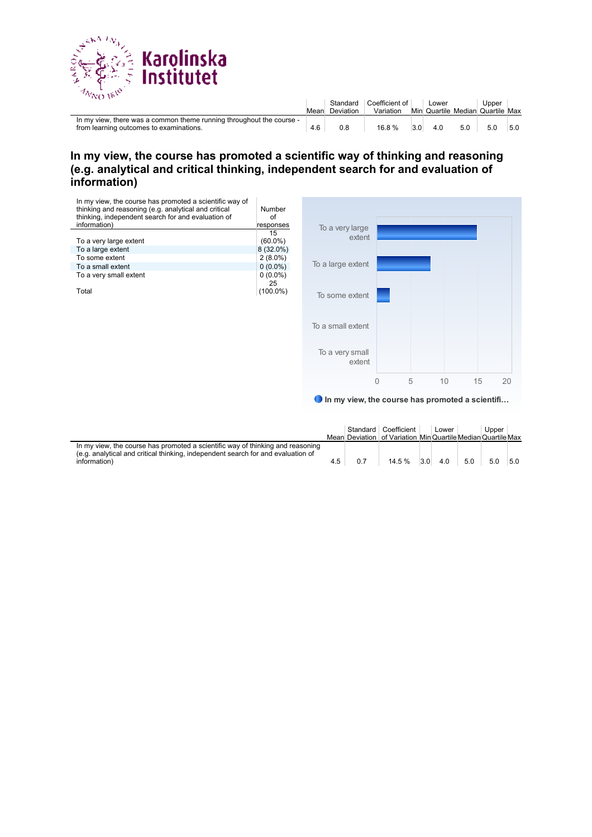

| .                                                                                                               | Mean | Deviation | Standard   Coefficient of  <br>Variation |     | Lower<br>Min Quartile Median Quartile Max |     | Upper |     |
|-----------------------------------------------------------------------------------------------------------------|------|-----------|------------------------------------------|-----|-------------------------------------------|-----|-------|-----|
| In my view, there was a common theme running throughout the course -<br>from learning outcomes to examinations. |      | 0.8       | 16.8%                                    | 3.0 | 4.0                                       | 5.0 | 5.0   | 5.0 |

#### **In my view, the course has promoted a scientific way of thinking and reasoning (e.g. analytical and critical thinking, independent search for and evaluation of information)**



● In my view, the course has promoted a scientifi…

|                                                                                                                                                                                    |     | Standard Coefficient<br>Mean Deviation of Variation MinQuartile MedianQuartile Max | Lower          |     | Upper |     |
|------------------------------------------------------------------------------------------------------------------------------------------------------------------------------------|-----|------------------------------------------------------------------------------------|----------------|-----|-------|-----|
| In my view, the course has promoted a scientific way of thinking and reasoning<br>(e.g. analytical and critical thinking, independent search for and evaluation of<br>information) | 4.5 | 14.5 %                                                                             | $3.0\quad 4.0$ | 5.0 | 5.0   | 5.0 |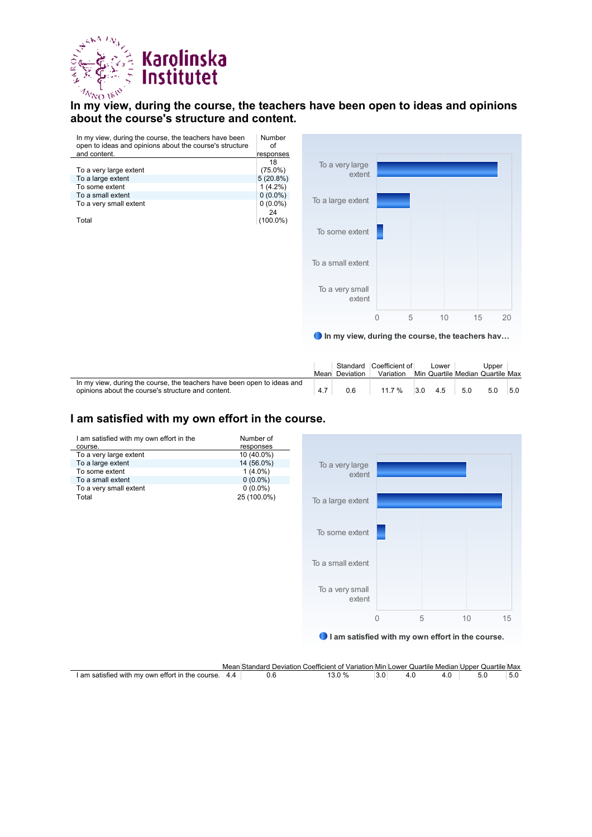

#### **In my view, during the course, the teachers have been open to ideas and opinions about the course's structure and content.**

| In my view, during the course, the teachers have been<br>open to ideas and opinions about the course's structure | Number<br>Ωf |
|------------------------------------------------------------------------------------------------------------------|--------------|
| and content.                                                                                                     | responses    |
|                                                                                                                  | 18           |
| To a very large extent                                                                                           | $(75.0\%)$   |
| To a large extent                                                                                                | 5(20.8%)     |
| To some extent                                                                                                   | $1(4.2\%)$   |
| To a small extent                                                                                                | $0(0.0\%)$   |
| To a very small extent                                                                                           | $0(0.0\%)$   |
|                                                                                                                  | 24           |
| Total                                                                                                            | $(100.0\%)$  |



In my view, during the course, the teachers hav…

|                                                                                                                               | Mean | Deviation | Standard Coefficient of<br>Variation |     | Lower |     | Upper<br>Min Quartile Median Quartile Max |     |
|-------------------------------------------------------------------------------------------------------------------------------|------|-----------|--------------------------------------|-----|-------|-----|-------------------------------------------|-----|
| In my view, during the course, the teachers have been open to ideas and<br>opinions about the course's structure and content. | 4.7  | 0.6       | 11.7 %                               | 3.0 | 4.5   | 5.0 | 5.0                                       | 5.0 |

#### **I am satisfied with my own effort in the course.**



|                                                  | Mean | Standard | ∡ Deviation Coefficient of Variation Min Lower Quartile Median I |  | Quartile Max<br>Upper ( |     |
|--------------------------------------------------|------|----------|------------------------------------------------------------------|--|-------------------------|-----|
| I am satisfied with my own effort in the course. |      |          | ″∩                                                               |  |                         | 5.U |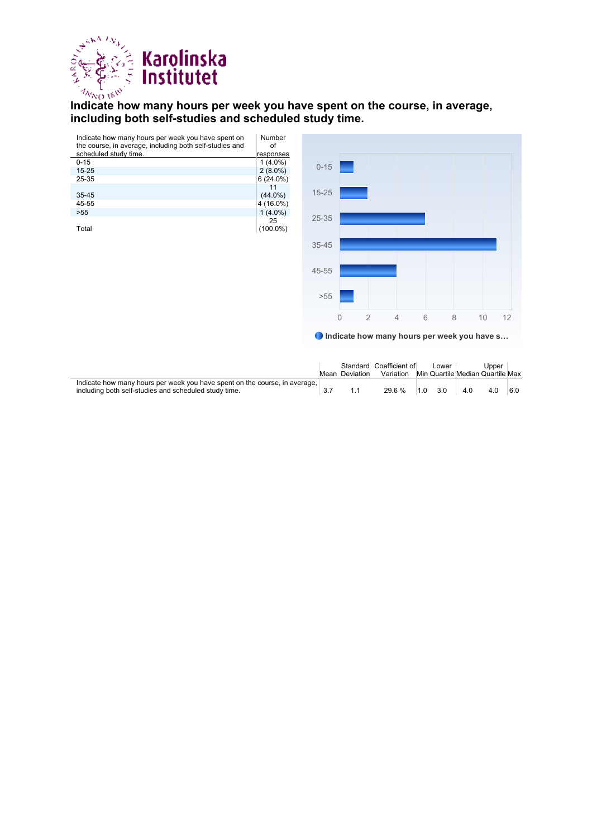

## **Indicate how many hours per week you have spent on the course, in average, limit indicate how many hours per week you have spent on the course, in average, including both self-studies and scheduled study time.**

| Indicate how many hours per week you have spent on      | Number      |           |                |                |                |   |   |    |    |
|---------------------------------------------------------|-------------|-----------|----------------|----------------|----------------|---|---|----|----|
| the course, in average, including both self-studies and | of          |           |                |                |                |   |   |    |    |
| scheduled study time.                                   | responses   |           |                |                |                |   |   |    |    |
| $0 - 15$                                                | $1(4.0\%)$  | $0 - 15$  |                |                |                |   |   |    |    |
| $15 - 25$                                               | $2(8.0\%)$  |           |                |                |                |   |   |    |    |
| 25-35                                                   | $6(24.0\%)$ |           |                |                |                |   |   |    |    |
|                                                         | 11          |           |                |                |                |   |   |    |    |
| 35-45                                                   | $(44.0\%)$  | $15 - 25$ |                |                |                |   |   |    |    |
| 45-55                                                   | 4 (16.0%)   |           |                |                |                |   |   |    |    |
| $>55$                                                   | $1(4.0\%)$  |           |                |                |                |   |   |    |    |
|                                                         | 25          | 25-35     |                |                |                |   |   |    |    |
| Total                                                   | $(100.0\%)$ |           |                |                |                |   |   |    |    |
|                                                         |             |           |                |                |                |   |   |    |    |
|                                                         |             | 35-45     |                |                |                |   |   |    |    |
|                                                         |             |           |                |                |                |   |   |    |    |
|                                                         |             |           |                |                |                |   |   |    |    |
|                                                         |             | 45-55     |                |                |                |   |   |    |    |
|                                                         |             |           |                |                |                |   |   |    |    |
|                                                         |             |           |                |                |                |   |   |    |    |
|                                                         |             | $>55$     |                |                |                |   |   |    |    |
|                                                         |             |           |                |                |                |   |   |    |    |
|                                                         |             |           |                |                |                |   |   |    |    |
|                                                         |             |           | $\overline{0}$ | $\overline{2}$ | $\overline{4}$ | 6 | 8 | 10 | 12 |

Indicate how many hours per week you have s…

|                                                                            |           | Standard Coefficient of |     | Lower                            |     | Upper |     |
|----------------------------------------------------------------------------|-----------|-------------------------|-----|----------------------------------|-----|-------|-----|
|                                                                            | Deviation | Variation               |     | Min Quartile Median Quartile Max |     |       |     |
| Indicate how many hours per week you have spent on the course, in average, |           |                         |     |                                  |     |       |     |
| including both self-studies and scheduled study time.                      |           | 29.6 %                  | 1.0 | 3.0                              | 4.0 | 4.0   | 6.0 |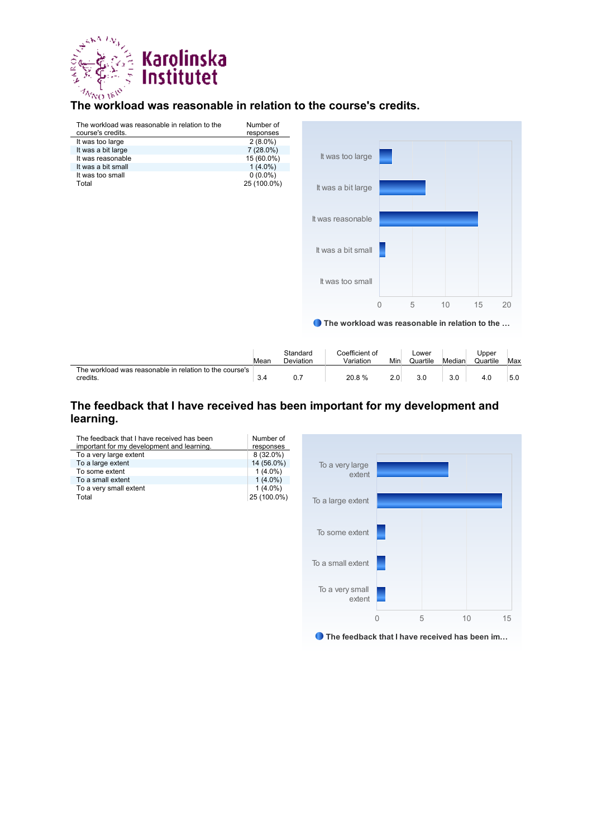

#### **The workload was reasonable in relation to the course's credits.**



|                                                         |      | Standard  | Coefficient of |     | Lower    |        | Upper    |     |
|---------------------------------------------------------|------|-----------|----------------|-----|----------|--------|----------|-----|
|                                                         | Mean | Deviation | Variation      | Min | Quartile | Median | Quartile | Max |
| The workload was reasonable in relation to the course's |      |           |                |     |          |        |          |     |
| credits.                                                | 3.4  | 0.7       | 20.8%          | 2.0 | 3.0      | 3.0    | 4.0      | 5.0 |
|                                                         |      |           |                |     |          |        |          |     |

#### **The feedback that I have received has been important for my development and learning.**

| The feedback that I have received has been<br>important for my development and learning. | Number of<br>responses |
|------------------------------------------------------------------------------------------|------------------------|
| To a very large extent                                                                   | $8(32.0\%)$            |
| To a large extent                                                                        | 14 (56.0%)             |
| To some extent                                                                           | $1(4.0\%)$             |
| To a small extent                                                                        | $1(4.0\%)$             |
| To a very small extent                                                                   | $1(4.0\%)$             |
| Total                                                                                    | 25 (100.0%)            |



● The feedback that I have received has been im...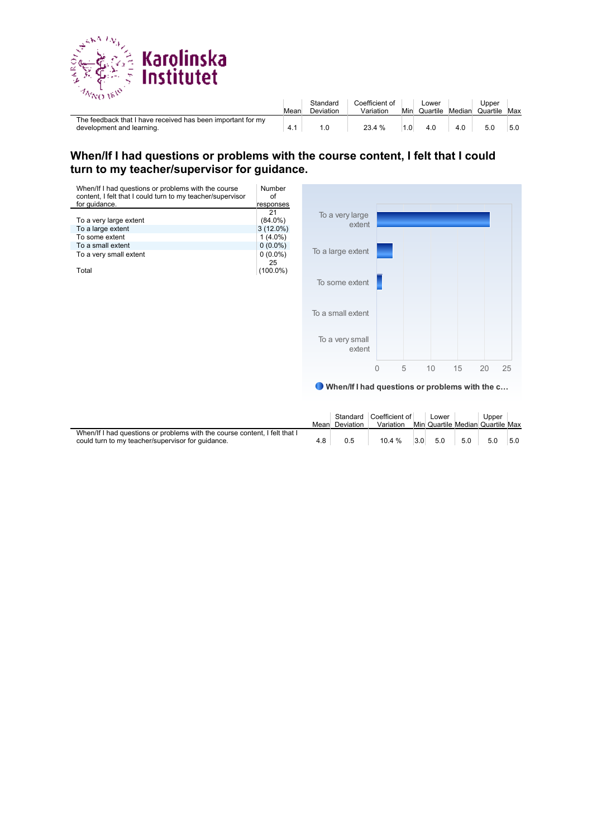

| .                                                                                        | Mean | Standard<br>Deviation | Coefficient of<br>Variation | Min | ∟ower<br>Quartile | Median | Upper<br>Quartile | Max |
|------------------------------------------------------------------------------------------|------|-----------------------|-----------------------------|-----|-------------------|--------|-------------------|-----|
| The feedback that I have received has been important for my<br>development and learning. | 4.1  |                       | 23.4 %                      |     |                   | 4.0    | 5.0               | 5.0 |

#### **When/If I had questions or problems with the course content, I felt that I could turn to my teacher/supervisor for guidance.**



When/If I had questions or problems with the c…

|                                                                                                                                 |     | Mean Deviation | Standard Coefficient of<br>Variation |     | Lower |     | Upper<br>Min Quartile Median Quartile Max |     |
|---------------------------------------------------------------------------------------------------------------------------------|-----|----------------|--------------------------------------|-----|-------|-----|-------------------------------------------|-----|
| When/If I had questions or problems with the course content, I felt that I<br>could turn to my teacher/supervisor for quidance. | 4.8 | 0.5            | $10.4 \%$                            | 3.0 | 5.0   | 5.0 | 5.0                                       | 5.0 |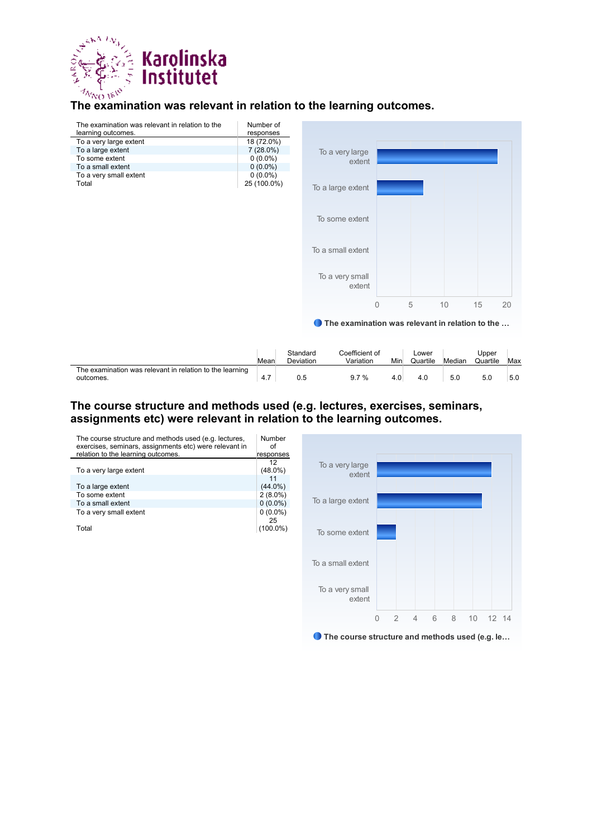

## **The examination was relevant in relation to the learning outcomes.**

| The examination was relevant in relation to the<br>learning outcomes. | Number of<br>responses |                                                 |              |   |    |    |    |
|-----------------------------------------------------------------------|------------------------|-------------------------------------------------|--------------|---|----|----|----|
| To a very large extent                                                | 18 (72.0%)             |                                                 |              |   |    |    |    |
| To a large extent                                                     | $7(28.0\%)$            | To a very large                                 |              |   |    |    |    |
| To some extent                                                        | $0(0.0\%)$             | extent                                          |              |   |    |    |    |
| To a small extent                                                     | $0(0.0\%)$             |                                                 |              |   |    |    |    |
| To a very small extent                                                | $0(0.0\%)$             |                                                 |              |   |    |    |    |
| Total                                                                 | 25 (100.0%)            | To a large extent                               |              |   |    |    |    |
|                                                                       |                        | To some extent                                  |              |   |    |    |    |
|                                                                       |                        | To a small extent                               |              |   |    |    |    |
|                                                                       |                        | To a very small<br>extent                       |              |   |    |    |    |
|                                                                       |                        |                                                 | $\mathbf{0}$ | 5 | 10 | 15 | 20 |
|                                                                       |                        | The examination was relevant in relation to the |              |   |    |    |    |
|                                                                       |                        |                                                 |              |   |    |    |    |

|                                                                       | Mear | Standaro<br>Deviation | Coefficient of<br>Variation | Min | Lower<br>Quartile | Median | Jpper<br>Quartile | Max |
|-----------------------------------------------------------------------|------|-----------------------|-----------------------------|-----|-------------------|--------|-------------------|-----|
| The examination was relevant in relation to the learning<br>outcomes. | 4.7  | 0.5                   | 9.7%                        |     | 4.0               | 5.0    | 5.0               | 5.0 |

#### **The course structure and methods used (e.g. lectures, exercises, seminars, assignments etc) were relevant in relation to the learning outcomes.**

| The course structure and methods used (e.g. lectures,<br>exercises, seminars, assignments etc) were relevant in<br>relation to the learning outcomes. | Number<br>Ωf |
|-------------------------------------------------------------------------------------------------------------------------------------------------------|--------------|
|                                                                                                                                                       | responses    |
|                                                                                                                                                       | 12           |
| To a very large extent                                                                                                                                | $(48.0\%)$   |
|                                                                                                                                                       | 11           |
| To a large extent                                                                                                                                     | $(44.0\%)$   |
| To some extent                                                                                                                                        | $2(8.0\%)$   |
| To a small extent                                                                                                                                     | $0(0.0\%)$   |
| To a very small extent                                                                                                                                | $0(0.0\%)$   |
|                                                                                                                                                       | 25           |
| Total                                                                                                                                                 |              |

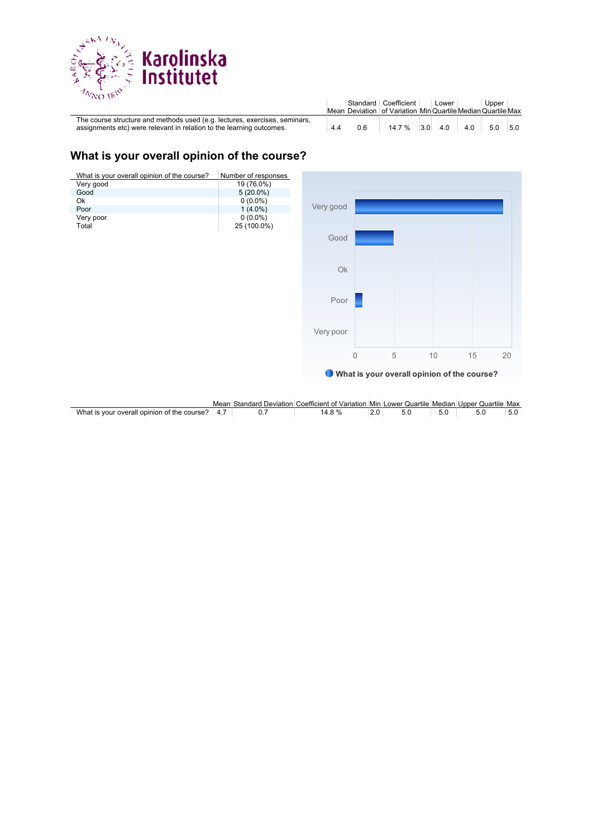

| ריסו בזעה כי                                                                                                                                       |     |     | Standard Coefficient<br>Mean Deviation of Variation Min Quartile Median Quartile Max | Lower |     | Upper |     |
|----------------------------------------------------------------------------------------------------------------------------------------------------|-----|-----|--------------------------------------------------------------------------------------|-------|-----|-------|-----|
| The course structure and methods used (e.g. lectures, exercises, seminars,<br>assignments etc) were relevant in relation to the learning outcomes. | 4.4 | 0.6 | $14.7\%$ 3.0                                                                         | 4.0   | 4.0 | 5.0   | 5.0 |

#### **What is your overall opinion of the course?**



|                                                             | Mear | 3tar<br>hdarc<br><i>D</i> eviation | Coefficient of Variation Min L |     | $\cdots$<br>∴∟ower Quartile ′ | Median | Upper<br>∵ (Juartile | Max   |
|-------------------------------------------------------------|------|------------------------------------|--------------------------------|-----|-------------------------------|--------|----------------------|-------|
| What<br>l opinion of the course's<br>' overall<br>i is vour |      |                                    | 14.0                           | 2.J |                               |        | J.J                  | ่ ง.น |